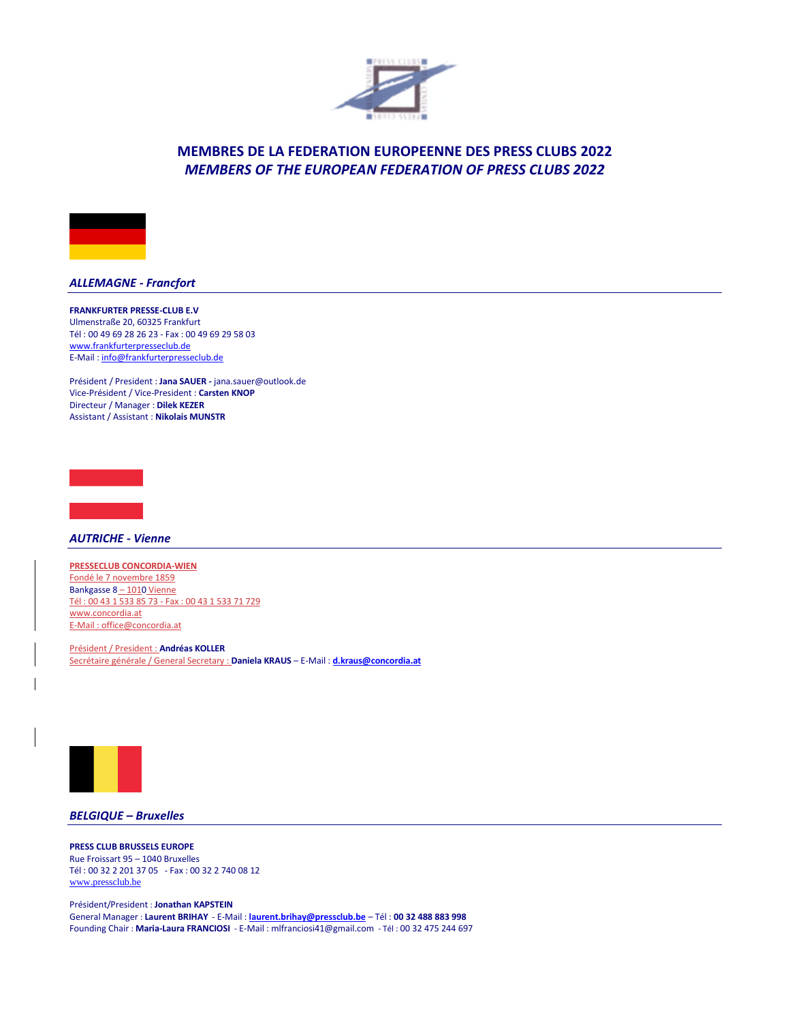



## *ALLEMAGNE - Francfort*

**FRANKFURTER PRESSE-CLUB E.V** Ulmenstraße 20, 60325 Frankfurt Tél : 00 49 69 28 26 23 - Fax : 00 49 69 29 58 03 [www.frankfurterpresseclub.de](http://www.frankfurterpresseclub.de/) E-Mail [: info@frankfurterpresseclub.de](info@frankfurterpresseclub.de)

Président / President : **Jana SAUER -** [jana.sauer@outlook.de](mailto:jana.sauer@outlook.de) Vice-Président / Vice-President : **Carsten KNOP** Directeur / Manager : **Dilek KEZER** Assistant / Assistant : **Nikolais MUNSTR**



*AUTRICHE - Vienne*

**PRESSECLUB CONCORDIA-WIEN** Fondé le 7 novembre 1859 Bankgasse 8-1010 Vienne Tél : 00 43 1 533 85 73 - Fax : 00 43 1 533 71 729 <www.concordia.at> E-Mail [: office@concordia.at](office@concordia.at)

Président / President : **Andréas KOLLER** Secrétaire générale / General Secretary : **Daniela KRAUS** – E-Mail : **[d.kraus@concordia.at](mailto:d.kraus@concordia.at)**



## *BELGIQUE – Bruxelles*

**PRESS CLUB BRUSSELS EUROPE**  Rue Froissart 95 – 1040 Bruxelles Tél : 00 32 2 201 37 05 - Fax : 00 32 2 740 08 12 [www.pressclub.be](http://www.pressclub.be/)

Président/President : **Jonathan KAPSTEIN** General Manager : **Laurent BRIHAY** - E-Mail : **[laurent.brihay@pressclub.be](mailto:laurent.brihay@pressclub.be)** – Tél : **00 32 488 883 998** Founding Chair : **Maria-Laura FRANCIOSI** - E-Mail [: mlfranciosi41@gmail.com](mailto:mlfranciosi41@gmail.com) - Tél : 00 32 475 244 697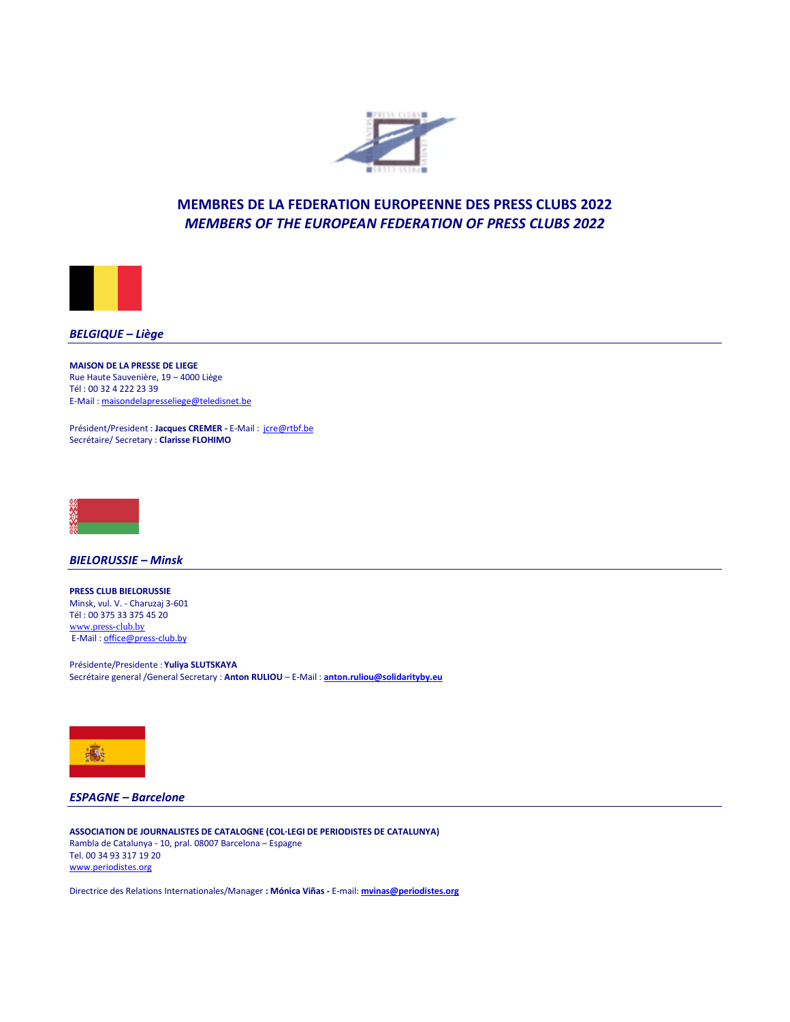



*BELGIQUE – Liège*

**MAISON DE LA PRESSE DE LIEGE** Rue Haute Sauvenière, 19 – 4000 Liège Tél : 00 32 4 222 23 39 E-Mail : [maisondelapresseliege@teledisnet.be](mailto:maisondelapresseliege@teledisnet.be)

Président/President : **Jacques CREMER -** E-Mail : [jcre@rtbf.be](mailto:jcre@rtbf.be) Secrétaire/ Secretary : **Clarisse FLOHIMO**



*BIELORUSSIE – Minsk*

**PRESS CLUB BIELORUSSIE**  Minsk, vul. V. - Charuzaj 3-601 Tél : 00 375 33 375 45 20 [www.press-club.by](http://www.press-club.by/) E-Mail : [office@press-club.by](mailto:office@press-club.by)

Présidente/Presidente : **Yuliya SLUTSKAYA** Secrétaire general /General Secretary : **Anton RULIOU** – E-Mail : **<anton.ruliou@solidarityby.eu>**



*ESPAGNE – Barcelone*

**ASSOCIATION DE JOURNALISTES DE CATALOGNE (COL·LEGI DE PERIODISTES DE CATALUNYA)** Rambla de Catalunya - 10, pral. 08007 Barcelona – Espagne Tel. 00 34 93 317 19 20 [www.periodistes.org](http://www.periodistes.org/)

Directrice des Relations Internationales/Manager **: Mónica Viñas -** E-mail: **[mvinas@periodistes.org](mailto:mvinas@periodistes.org)**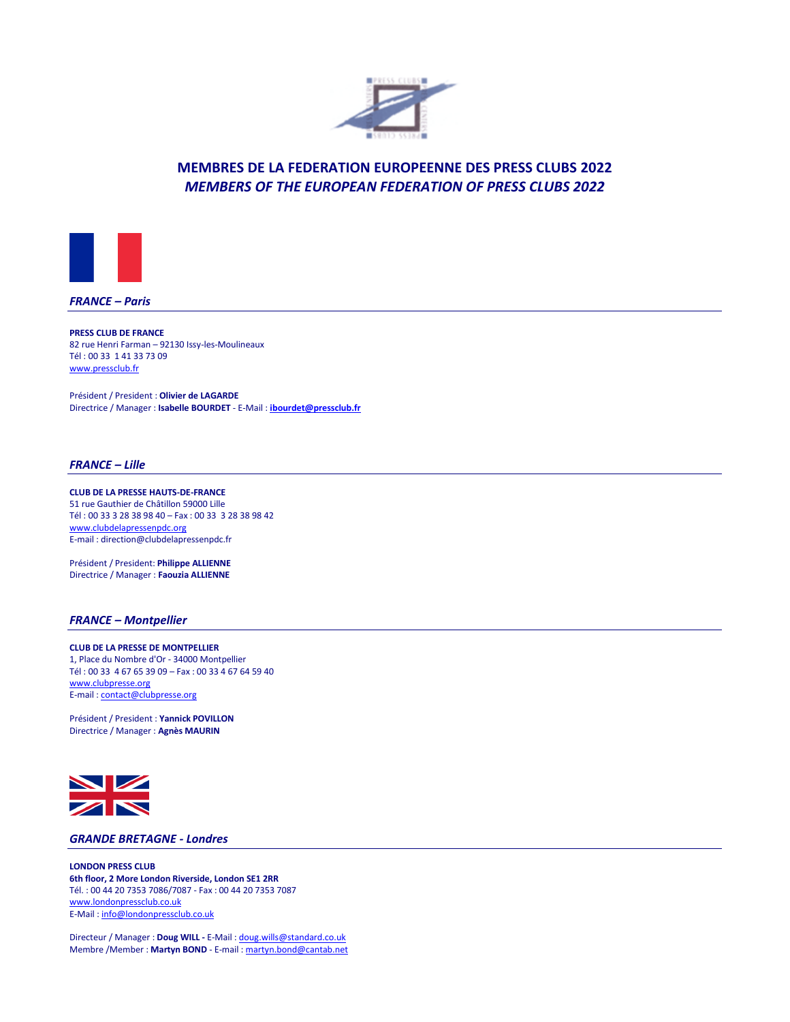



*FRANCE – Paris*

**PRESS CLUB DE FRANCE** 82 rue Henri Farman – 92130 Issy-les-Moulineaux Tél : 00 33 1 41 33 73 09 <www.pressclub.fr>

Président / President : **Olivier de LAGARDE** Directrice / Manager : **Isabelle BOURDET** - E-Mail : **<ibourdet@pressclub.fr>**

### *FRANCE – Lille*

**CLUB DE LA PRESSE HAUTS-DE-FRANCE** 51 rue Gauthier de Châtillon 59000 Lille Tél : 00 33 3 28 38 98 40 – Fax : 00 33 3 28 38 98 42 <www.clubdelapressenpdc.org> E-mail : direction@clubdelapressenpdc.fr

Président / President: **Philippe ALLIENNE** Directrice / Manager : **Faouzia ALLIENNE**

### *FRANCE – Montpellier*

**CLUB DE LA PRESSE DE MONTPELLIER**  1, Place du Nombre d'Or - 34000 Montpellier Tél : 00 33 4 67 65 39 09 – Fax : 00 33 4 67 64 59 40 <www.clubpresse.org> E-mail [: contact@clubpresse.org](contact@clubpresse.org)

Président / President : **Yannick POVILLON** Directrice / Manager : **Agnès MAURIN**



## *GRANDE BRETAGNE - Londres*

**LONDON PRESS CLUB 6th floor, 2 More London Riverside, London SE1 2RR** Tél. : 00 44 20 7353 7086/7087 - Fax : 00 44 20 7353 7087 <www.londonpressclub.co.uk> E-Mail [: info@londonpressclub.co.uk](mailto:info@londonpressclub.co.uk)

Directeur / Manager : **Doug WILL -** E-Mail [: doug.wills@standard.co.uk](mailto:doug.wills@standard.co.uk) Membre /Member : **Martyn BOND** - E-mail [: martyn.bond@cantab.net](mailto:martyn.bond@cantab.net)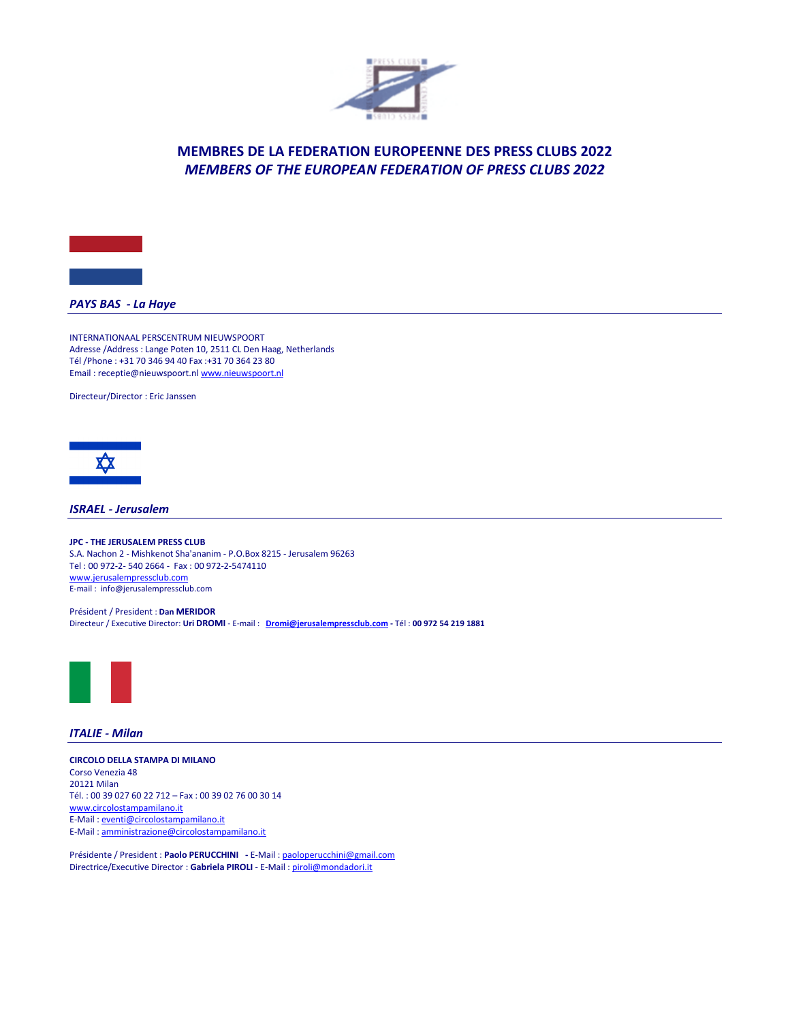



## *PAYS BAS - La Haye*

INTERNATIONAAL PERSCENTRUM NIEUWSPOORT Adresse /Address : Lange Poten 10, 2511 CL Den Haag, Netherlands Tél /Phone : +31 70 346 94 40 Fax :+31 70 364 23 80 Email : receptie@nieuwspoort.n[l www.nieuwspoort.nl](http://www.nieuwspoort.nl/)

Directeur/Director : Eric Janssen



*ISRAEL - Jerusalem*

**JPC - THE JERUSALEM PRESS CLUB** S.A. Nachon 2 - Mishkenot Sha'ananim - P.O.Box 8215 - Jerusalem 96263 Tel : 00 972-2- 540 2664 - Fax : 00 972-2-5474110 [www.jerusalempressclub.com](http://www.jerusalempressclub.com/) E-mail : [info@jerusalempressclub.com](mailto:info@jerusalempressclub.com)

Président / President : **Dan MERIDOR** Directeur / Executive Director: **Uri DROMI** - E-mail : **[Dromi@jerusalempressclub.com](mailto:Dromi@jerusalempressclub.com) -** Tél : **00 972 54 219 1881**



## *ITALIE - Milan*

**CIRCOLO DELLA STAMPA DI MILANO** Corso Venezia 48 20121 Milan Tél. : 00 39 027 60 22 712 – Fax : 00 39 02 76 00 30 14 <www.circolostampamilano.it> E-Mail [: eventi@circolostampamilano.it](eventi@circolostampamilano.it) E-Mail [: amministrazione@circolostampamilano.it](amministrazione@circolostampamilano.it)

Présidente / President : **Paolo PERUCCHINI -** E-Mail [: paoloperucchini@gmail.com](mailto:paoloperucchini@gmail.com) Directrice/Executive Director : **Gabriela PIROLI** - E-Mail [: piroli@mondadori.it](mailto:piroli@mondadori.it)